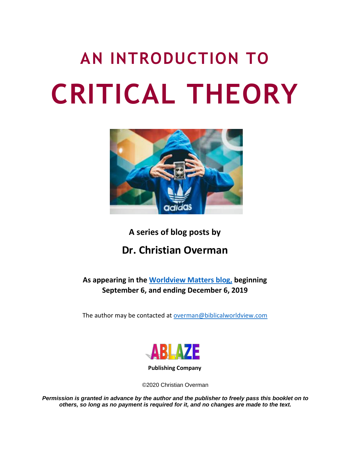# **AN INTRODUCTION TO CRITICAL THEORY**



**A series of blog posts by**

## **Dr. Christian Overman**

**As appearing in the [Worldview Matters blog,](https://biblicalworldviewmatters.blogspot.com/) beginning September 6, and ending December 6, 2019** 

The author may be contacted at [overman@biblicalworldview.com](mailto:overman@biblicalworldview.com)



©2020 Christian Overman

*Permission is granted in advance by the author and the publisher to freely pass this booklet on to others, so long as no payment is required for it, and no changes are made to the text.*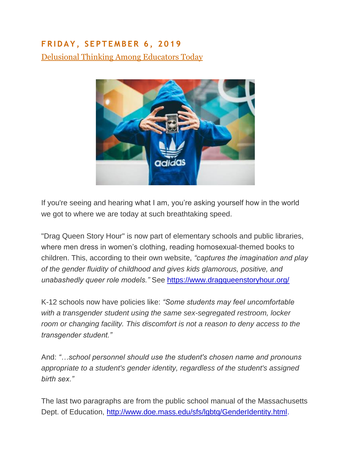## **F R I D A Y , S E P T E M B E R 6 , 2 0 1 9**

[Delusional Thinking Among Educators Today](https://biblicalworldviewmatters.blogspot.com/2019/09/delusional-thinking-among-educators.html)



If you're seeing and hearing what I am, you're asking yourself how in the world we got to where we are today at such breathtaking speed.

"Drag Queen Story Hour" is now part of elementary schools and public libraries, where men dress in women's clothing, reading homosexual-themed books to children. This, according to their own website, *"captures the imagination and play of the gender fluidity of childhood and gives kids glamorous, positive, and unabashedly queer role models."* See <https://www.dragqueenstoryhour.org/>

K-12 schools now have policies like: *"Some students may feel uncomfortable with a transgender student using the same sex-segregated restroom, locker room or changing facility. This discomfort is not a reason to deny access to the transgender student."*

And: *"…school personnel should use the student's chosen name and pronouns appropriate to a student's gender identity, regardless of the student's assigned birth sex."*

The last two paragraphs are from the public school manual of the Massachusetts Dept. of Education, [http://www.doe.mass.edu/sfs/lgbtq/GenderIdentity.html.](http://www.doe.mass.edu/sfs/lgbtq/GenderIdentity.html)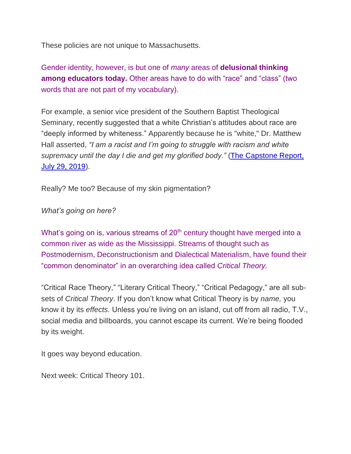These policies are not unique to Massachusetts.

Gender identity, however, is but one of *many* areas of **delusional thinking among educators today.** Other areas have to do with "race" and "class" (two words that are not part of my vocabulary).

For example, a senior vice president of the Southern Baptist Theological Seminary, recently suggested that a white Christian's attitudes about race are "deeply informed by whiteness." Apparently because he is "white," Dr. Matthew Hall asserted, *"I am a racist and I'm going to struggle with racism and white supremacy until the day I die and get my glorified body."* [\(The Capstone Report,](http://capstonereport.com/2019/07/29/breaking-admitted-racist-is-provost-at-southern-baptist-theological-seminary/32870/)  [July 29, 2019\)](http://capstonereport.com/2019/07/29/breaking-admitted-racist-is-provost-at-southern-baptist-theological-seminary/32870/).

Really? Me too? Because of my skin pigmentation?

*What's going on here?*

What's going on is, various streams of 20<sup>th</sup> century thought have merged into a common river as wide as the Mississippi. Streams of thought such as Postmodernism, Deconstructionism and Dialectical Materialism, have found their "common denominator" in an overarching idea called *Critical Theory.*

"Critical Race Theory," "Literary Critical Theory," "Critical Pedagogy," are all subsets of *Critical Theory*. If you don't know what Critical Theory is by *name,* you know it by its *effects.* Unless you're living on an island, cut off from all radio, T.V., social media and billboards, you cannot escape its current. We're being flooded by its weight.

It goes way beyond education.

Next week: Critical Theory 101.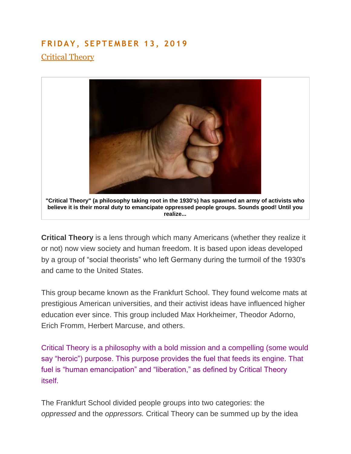## **F R I D A Y , S E P T E M B E R 1 3 , 2 0 1 9** [Critical Theory](https://biblicalworldviewmatters.blogspot.com/2019/09/critical-theory.html)



**Critical Theory** is a lens through which many Americans (whether they realize it or not) now view society and human freedom. It is based upon ideas developed by a group of "social theorists" who left Germany during the turmoil of the 1930's and came to the United States.

This group became known as the Frankfurt School. They found welcome mats at prestigious American universities, and their activist ideas have influenced higher education ever since. This group included Max Horkheimer, Theodor Adorno, Erich Fromm, Herbert Marcuse, and others.

Critical Theory is a philosophy with a bold mission and a compelling (some would say "heroic") purpose. This purpose provides the fuel that feeds its engine. That fuel is "human emancipation" and "liberation," as defined by Critical Theory itself.

The Frankfurt School divided people groups into two categories: the *oppressed* and the *oppressors.* Critical Theory can be summed up by the idea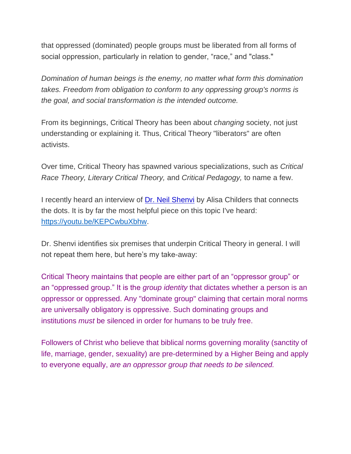that oppressed (dominated) people groups must be liberated from all forms of social oppression, particularly in relation to gender, "race," and "class."

*Domination of human beings is the enemy, no matter what form this domination takes. Freedom from obligation to conform to any oppressing group's norms is the goal, and social transformation is the intended outcome.*

From its beginnings, Critical Theory has been about *changing* society, not just understanding or explaining it. Thus, Critical Theory "liberators" are often activists.

Over time, Critical Theory has spawned various specializations, such as *Critical Race Theory, Literary Critical Theory,* and *Critical Pedagogy,* to name a few.

I recently heard an interview of [Dr. Neil Shenvi](https://shenviapologetics.com/) by Alisa Childers that connects the dots. It is by far the most helpful piece on this topic I've heard: [https://youtu.be/KEPCwbuXbhw.](https://youtu.be/KEPCwbuXbhw)

Dr. Shenvi identifies six premises that underpin Critical Theory in general. I will not repeat them here, but here's my take-away:

Critical Theory maintains that people are either part of an "oppressor group" or an "oppressed group." It is the *group identity* that dictates whether a person is an oppressor or oppressed. Any "dominate group" claiming that certain moral norms are universally obligatory is oppressive. Such dominating groups and institutions *must* be silenced in order for humans to be truly free.

Followers of Christ who believe that biblical norms governing morality (sanctity of life, marriage, gender, sexuality) are pre-determined by a Higher Being and apply to everyone equally, *are an oppressor group that needs to be silenced.*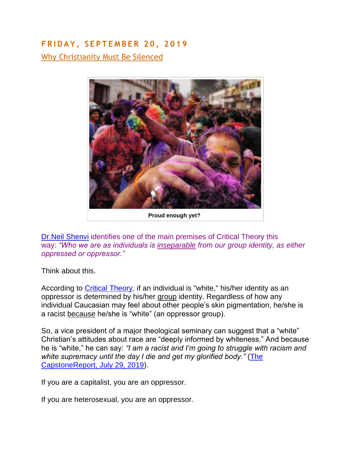## **F R I D A Y , S E P T E M B E R 2 0 , 2 0 1 9** [Why Christianity Must Be Silenced](https://biblicalworldviewmatters.blogspot.com/2019/09/why-christianity-must-be-silenced.html)



**Proud enough yet?**

[Dr.Neil Shenvi](https://shenviapologetics.com/) identifies one of the main premises of Critical Theory this way: *"Who we are as individuals is inseparable from our group identity, as either oppressed or oppressor."*

Think about this.

According to [Critical Theory,](https://www.str.org/blog/critical-theory-vs-christianity#.XX1TSShKiUl) if an individual is "white," his/her identity as an oppressor is determined by his/her group identity. Regardless of how any individual Caucasian may feel about other people's skin pigmentation, he/she is a racist because he/she is "white" (an oppressor group).

So, a vice president of a major theological seminary can suggest that a "white" Christian's attitudes about race are "deeply informed by whiteness." And because he is "white," he can say: *"I am a racist and I'm going to struggle with racism and white supremacy until the day I die and get my glorified body."* [\(The](http://capstonereport.com/2019/07/29/breaking-admitted-racist-is-provost-at-southern-baptist-theological-seminary/32870/)  [CapstoneReport, July 29, 2019\)](http://capstonereport.com/2019/07/29/breaking-admitted-racist-is-provost-at-southern-baptist-theological-seminary/32870/).

If you are a capitalist, you are an oppressor.

If you are heterosexual, you are an oppressor.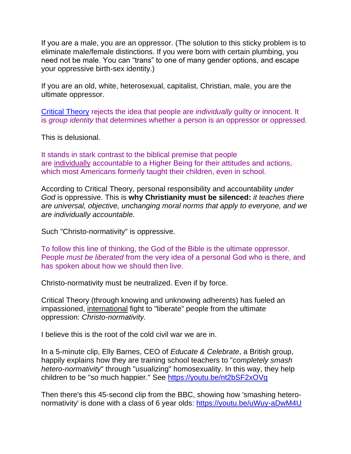If you are a male, you are an oppressor. (The solution to this sticky problem is to eliminate male/female distinctions. If you were born with certain plumbing, you need not be male. You can "trans" to one of many gender options, and escape your oppressive birth-sex identity.)

If you are an old, white, heterosexual, capitalist, Christian, male, you are the ultimate oppressor.

[Critical Theory](https://www.youtube.com/watch?v=KEPCwbuXbhw&feature=youtu.be) rejects the idea that people are *individually* guilty or innocent. It is *group identity* that determines whether a person is an oppressor or oppressed.

This is delusional.

It stands in stark contrast to the biblical premise that people are individually accountable to a Higher Being for their attitudes and actions, which most Americans formerly taught their children, even in school.

According to Critical Theory, personal responsibility and accountability *under God* is oppressive. This is **why Christianity must be silenced:** *it teaches there are universal, objective, unchanging moral norms that apply to everyone, and we are individually accountable.*

Such "Christo-normativity" is oppressive.

To follow this line of thinking, the God of the Bible is the ultimate oppressor. People *must be liberated* from the very idea of a personal God who is there, and has spoken about how we should then live.

Christo-normativity must be neutralized. Even if by force.

Critical Theory (through knowing and unknowing adherents) has fueled an impassioned, international fight to "liberate" people from the ultimate oppression: *Christo-normativity.*

I believe this is the root of the cold civil war we are in.

In a 5-minute clip, Elly Barnes, CEO of *Educate & Celebrate*, a British group, happily explains how they are training school teachers to "*completely smash hetero-normativity*" through "usualizing" homosexuality. In this way, they help children to be "so much happier." See<https://youtu.be/nt2bSF2xOVg>

Then there's this 45-second clip from the BBC, showing how 'smashing heteronormativity' is done with a class of 6 year olds:<https://youtu.be/uWuy-aDwM4U>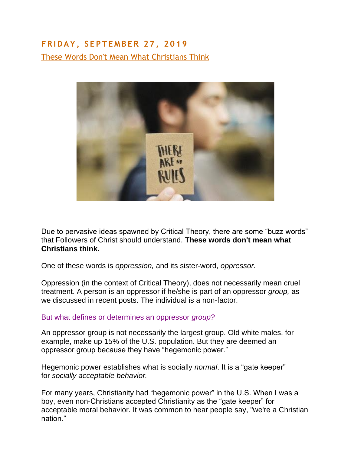## **F R I D A Y , S E P T E M B E R 2 7 , 2 0 1 9** [These Words Don't Mean What Christians Think](https://biblicalworldviewmatters.blogspot.com/2019/09/these-words-dont-mean-what-christians.html)



Due to pervasive ideas spawned by Critical Theory, there are some "buzz words" that Followers of Christ should understand. **These words don't mean what Christians think.**

One of these words is *oppression,* and its sister-word, *oppressor.*

Oppression (in the context of Critical Theory), does not necessarily mean cruel treatment. A person is an oppressor if he/she is part of an oppressor *group,* as we discussed in recent posts. The individual is a non-factor.

#### But what defines or determines an oppressor *group?*

An oppressor group is not necessarily the largest group. Old white males, for example, make up 15% of the U.S. population. But they are deemed an oppressor group because they have "hegemonic power."

Hegemonic power establishes what is socially *normal*. It is a "gate keeper" for *socially acceptable behavior.*

For many years, Christianity had "hegemonic power" in the U.S. When I was a boy, even non-Christians accepted Christianity as the "gate keeper" for acceptable moral behavior. It was common to hear people say, "we're a Christian nation."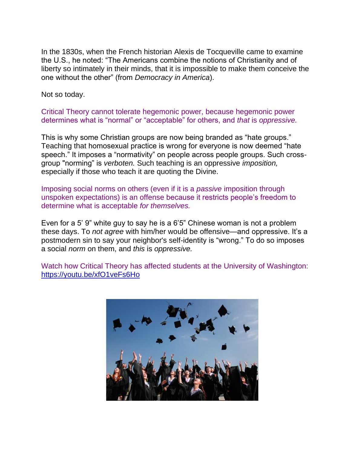In the 1830s, when the French historian Alexis de Tocqueville came to examine the U.S., he noted: "The Americans combine the notions of Christianity and of liberty so intimately in their minds, that it is impossible to make them conceive the one without the other" (from *Democracy in America*).

Not so today.

Critical Theory cannot tolerate hegemonic power, because hegemonic power determines what is "normal" or "acceptable" for others, and *that* is *oppressive.* 

This is why some Christian groups are now being branded as "hate groups." Teaching that homosexual practice is wrong for everyone is now deemed "hate speech." It imposes a "normativity" on people across people groups. Such crossgroup "norming" is *verboten.* Such teaching is an oppressive *imposition,* especially if those who teach it are quoting the Divine.

Imposing social norms on others (even if it is a *passive* imposition through unspoken expectations) is an offense because it restricts people's freedom to determine what is acceptable *for themselves.*

Even for a 5' 9" white guy to say he is a 6'5" Chinese woman is not a problem these days. To *not agree* with him/her would be offensive—and oppressive. It's a postmodern sin to say your neighbor's self-identity is "wrong." To do so imposes a social *norm* on them, and *this* is *oppressive.* 

Watch how Critical Theory has affected students at the University of Washington: <https://youtu.be/xfO1veFs6Ho>

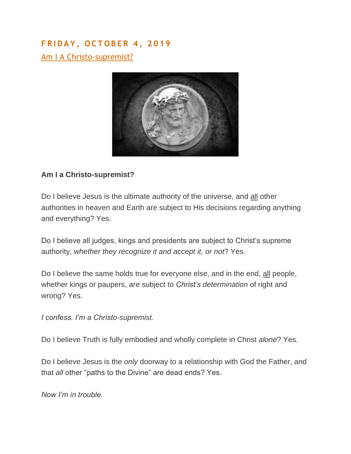## **F R I D A Y , O C T O B E R 4 , 2 0 1 9** [Am I A Christo-supremist?](https://biblicalworldviewmatters.blogspot.com/2019/10/am-i-christo-supremist.html)



#### **Am I a Christo-supremist?**

Do I believe Jesus is the ultimate authority of the universe, and all other authorities in heaven and Earth are subject to His decisions regarding anything and everything? Yes.

Do I believe all judges, kings and presidents are subject to Christ's supreme authority, *whether they recognize it and accept it, or not*? Yes.

Do I believe the same holds true for everyone else, and in the end, all people, whether kings or paupers, are subject to *Christ's determination* of right and wrong? Yes.

*I confess. I'm a Christo-supremist.*

Do I believe Truth is fully embodied and wholly complete in Christ *alone*? Yes.

Do I believe Jesus is the *only* doorway to a relationship with God the Father, and that *all* other "paths to the Divine" are dead ends? Yes.

*Now I'm in trouble.*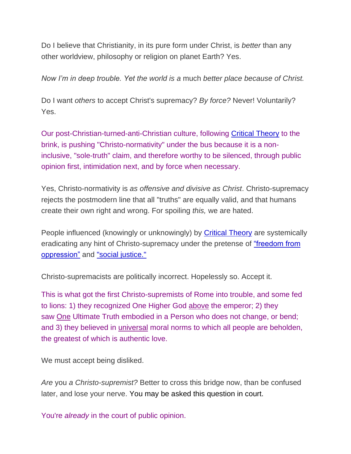Do I believe that Christianity, in its pure form under Christ, is *better* than any other worldview, philosophy or religion on planet Earth? Yes.

*Now I'm in deep trouble. Yet the world is a* much *better place because of Christ.*

Do I want *others* to accept Christ's supremacy? *By force?* Never! Voluntarily? Yes.

Our post-Christian-turned-anti-Christian culture, following [Critical Theory](https://biblicalworldviewmatters.blogspot.com/2019/09/why-christianity-must-be-silenced.html) to the brink, is pushing "Christo-normativity" under the bus because it is a noninclusive, "sole-truth" claim, and therefore worthy to be silenced, through public opinion first, intimidation next, and by force when necessary.

Yes, Christo-normativity is *as offensive and divisive as Christ*. Christo-supremacy rejects the postmodern line that all "truths" are equally valid, and that humans create their own right and wrong. For spoiling *this,* we are hated.

People influenced (knowingly or unknowingly) by [Critical Theory](https://biblicalworldviewmatters.blogspot.com/2019/09/critical-theory.html) are systemically eradicating any hint of Christo-supremacy under the pretense of ["freedom from](https://biblicalworldviewmatters.blogspot.com/2019/09/these-words-dont-mean-what-christians.html)  [oppression"](https://biblicalworldviewmatters.blogspot.com/2019/09/these-words-dont-mean-what-christians.html) and ["social justice."](https://biblicalworldviewmatters.blogspot.com/2019/10/were-in-wwii-of-our-day.html)

Christo-supremacists are politically incorrect. Hopelessly so. Accept it.

This is what got the first Christo-supremists of Rome into trouble, and some fed to lions: 1) they recognized One Higher God above the emperor; 2) they saw One Ultimate Truth embodied in a Person who does not change, or bend; and 3) they believed in universal moral norms to which all people are beholden, the greatest of which is authentic love.

We must accept being disliked.

*Are* you *a Christo-supremist?* Better to cross this bridge now, than be confused later, and lose your nerve. You may be asked this question in court.

You're *already* in the court of public opinion.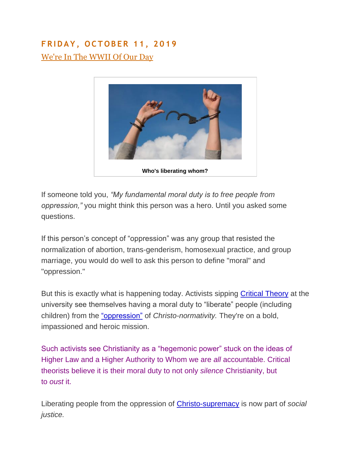## **F R I D A Y , O C T O B E R 1 1 , 2 0 1 9** [We're In The WWII Of Our Day](https://biblicalworldviewmatters.blogspot.com/2019/10/were-in-wwii-of-our-day.html)



If someone told you, *"My fundamental moral duty is to free people from oppression,"* you might think this person was a hero. Until you asked some questions.

If this person's concept of "oppression" was any group that resisted the normalization of abortion, trans-genderism, homosexual practice, and group marriage, you would do well to ask this person to define "moral" and "oppression."

But this is exactly what is happening today. Activists sipping [Critical Theory](https://biblicalworldviewmatters.blogspot.com/2019/09/critical-theory.html) at the university see themselves having a moral duty to "liberate" people (including children) from the ["oppression"](https://biblicalworldviewmatters.blogspot.com/2019/09/these-words-dont-mean-what-christians.html) of *Christo-normativity.* They're on a bold, impassioned and heroic mission.

Such activists see Christianity as a "hegemonic power" stuck on the ideas of Higher Law and a Higher Authority to Whom we are *all* accountable. Critical theorists believe it is their moral duty to not only *silence* Christianity, but to *oust* it.

Liberating people from the oppression of [Christo-supremacy](https://biblicalworldviewmatters.blogspot.com/2019/10/am-i-christo-supremist.html) is now part of *social justice.*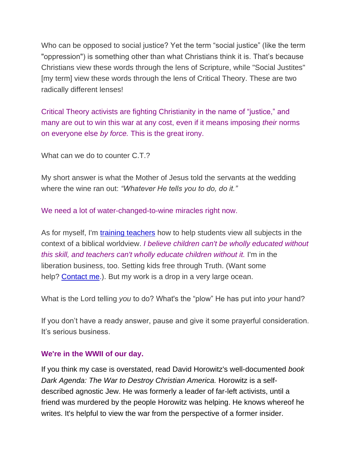Who can be opposed to social justice? Yet the term "social justice" (like the term "oppression") is something other than what Christians think it is. That's because Christians view these words through the lens of Scripture, while "Social Justites" [my term] view these words through the lens of Critical Theory. These are two radically different lenses!

Critical Theory activists are fighting Christianity in the name of "justice," and many are out to win this war at any cost, even if it means imposing *their* norms on everyone else *by force.* This is the great irony.

What can we do to counter C.T.?

My short answer is what the Mother of Jesus told the servants at the wedding where the wine ran out: *"Whatever He tells you to do, do it."*

We need a lot of water-changed-to-wine miracles right now.

As for myself, I'm [training teachers](https://biblicalworldview.com/training) how to help students view all subjects in the context of a biblical worldview. *I believe children can't be wholly educated without this skill, and teachers can't wholly educate children without it.* I'm in the liberation business, too. Setting kids free through Truth. (Want some help? [Contact me.](https://biblicalworldview.com/contact-1)). But my work is a drop in a very large ocean.

What is the Lord telling *you* to do? What's the "plow" He has put into *your* hand?

If you don't have a ready answer, pause and give it some prayerful consideration. It's serious business.

#### **We're in the WWII of our day.**

If you think my case is overstated, read David Horowitz's well-documented *book Dark Agenda: The War to Destroy Christian America.* Horowitz is a selfdescribed agnostic Jew. He was formerly a leader of far-left activists, until a friend was murdered by the people Horowitz was helping. He knows whereof he writes. It's helpful to view the war from the perspective of a former insider.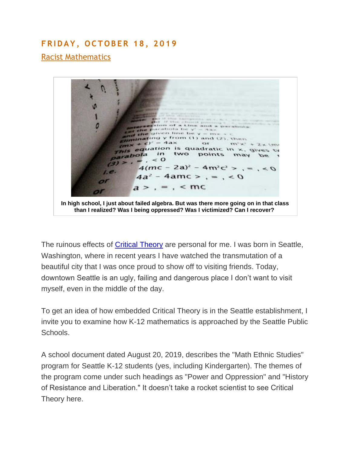## **F R I D A Y , O C T O B E R 1 8 , 2 0 1 9**

[Racist Mathematics](https://biblicalworldviewmatters.blogspot.com/2019/10/racist-mathematics.html)



The ruinous effects of [Critical Theory](https://biblicalworldviewmatters.blogspot.com/2019/09/critical-theory.html) are personal for me. I was born in Seattle, Washington, where in recent years I have watched the transmutation of a beautiful city that I was once proud to show off to visiting friends. Today, downtown Seattle is an ugly, failing and dangerous place I don't want to visit myself, even in the middle of the day.

To get an idea of how embedded Critical Theory is in the Seattle establishment, I invite you to examine how K-12 mathematics is approached by the Seattle Public Schools.

A school document dated August 20, 2019, describes the "Math Ethnic Studies" program for Seattle K-12 students (yes, including Kindergarten). The themes of the program come under such headings as "Power and Oppression" and "History of Resistance and Liberation." It doesn't take a rocket scientist to see Critical Theory here.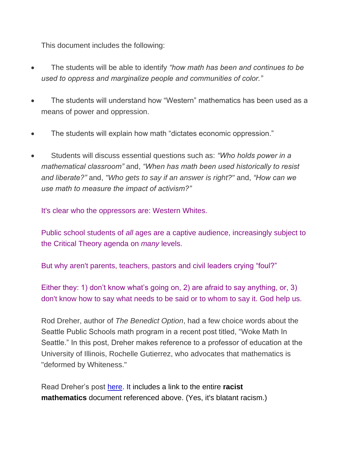This document includes the following:

- The students will be able to identify *"how math has been and continues to be used to oppress and marginalize people and communities of color."*
- The students will understand how "Western" mathematics has been used as a means of power and oppression.
- The students will explain how math "dictates economic oppression."
- Students will discuss essential questions such as: *"Who holds power in a mathematical classroom"* and, *"When has math been used historically to resist and liberate?"* and, *"Who gets to say if an answer is right?"* and, *"How can we use math to measure the impact of activism?"*

It's clear who the oppressors are: Western Whites.

Public school students of *all* ages are a captive audience, increasingly subject to the Critical Theory agenda on *many* levels.

But why aren't parents, teachers, pastors and civil leaders crying "foul?"

Either they: 1) don't know what's going on, 2) are afraid to say anything, or, 3) don't know how to say what needs to be said or to whom to say it. God help us.

Rod Dreher, author of *The Benedict Option*, had a few choice words about the Seattle Public Schools math program in a recent post titled, "Woke Math In Seattle." In this post, Dreher makes reference to a professor of education at the University of Illinois, Rochelle Gutierrez, who advocates that mathematics is "deformed by Whiteness."

Read Dreher's post [here.](https://www.theamericanconservative.com/dreher/woke-math-in-seattle/) It includes a link to the entire **racist mathematics** document referenced above. (Yes, it's blatant racism.)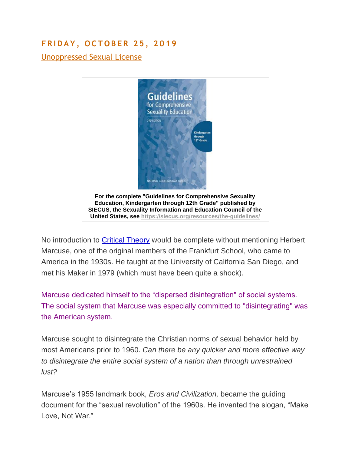### **F R I D A Y , O C T O B E R 2 5 , 2 0 1 9**

#### [Unoppressed Sexual License](https://biblicalworldviewmatters.blogspot.com/2019/10/unoppressed-sexual-license.html)



No introduction to [Critical Theory](https://biblicalworldviewmatters.blogspot.com/2019/09/critical-theory.html) would be complete without mentioning Herbert Marcuse, one of the original members of the Frankfurt School, who came to America in the 1930s. He taught at the University of California San Diego, and met his Maker in 1979 (which must have been quite a shock).

Marcuse dedicated himself to the "dispersed disintegration" of social systems. The social system that Marcuse was especially committed to "disintegrating" was the American system.

Marcuse sought to disintegrate the Christian norms of sexual behavior held by most Americans prior to 1960. *Can there be any quicker and more effective way to disintegrate the entire social system of a nation than through unrestrained lust?*

Marcuse's 1955 landmark book, *Eros and Civilization,* became the guiding document for the "sexual revolution" of the 1960s. He invented the slogan, "Make Love, Not War."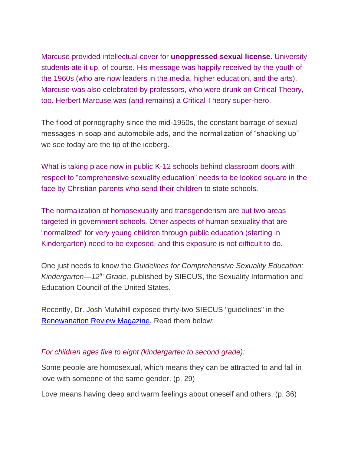Marcuse provided intellectual cover for **unoppressed sexual license.** University students ate it up, of course. His message was happily received by the youth of the 1960s (who are now leaders in the media, higher education, and the arts). Marcuse was also celebrated by professors, who were drunk on Critical Theory, too. Herbert Marcuse was (and remains) a Critical Theory super-hero.

The flood of pornography since the mid-1950s, the constant barrage of sexual messages in soap and automobile ads, and the normalization of "shacking up" we see today are the tip of the iceberg.

What is taking place now in public K-12 schools behind classroom doors with respect to "comprehensive sexuality education" needs to be looked square in the face by Christian parents who send their children to state schools.

The normalization of homosexuality and transgenderism are but two areas targeted in government schools. Other aspects of human sexuality that are "normalized" for very young children through public education (starting in Kindergarten) need to be exposed, and this exposure is not difficult to do.

One just needs to know the *Guidelines for Comprehensive Sexuality Education: Kindergarten—12th Grade,* published by SIECUS, the Sexuality Information and Education Council of the United States.

Recently, Dr. Josh Mulvihill exposed thirty-two SIECUS "guidelines" in the [Renewanation Review Magazine.](https://www.renewanation.org/post/understanding-the-missionary-zeal-of-sex-saturated-schools) Read them below:

#### *For children ages five to eight (kindergarten to second grade):*

Some people are homosexual, which means they can be attracted to and fall in love with someone of the same gender. (p. 29)

Love means having deep and warm feelings about oneself and others. (p. 36)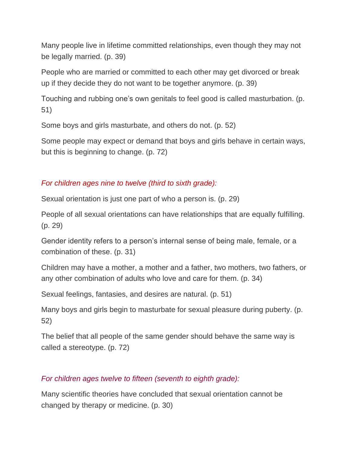Many people live in lifetime committed relationships, even though they may not be legally married. (p. 39)

People who are married or committed to each other may get divorced or break up if they decide they do not want to be together anymore. (p. 39)

Touching and rubbing one's own genitals to feel good is called masturbation. (p. 51)

Some boys and girls masturbate, and others do not. (p. 52)

Some people may expect or demand that boys and girls behave in certain ways, but this is beginning to change. (p. 72)

#### *For children ages nine to twelve (third to sixth grade):*

Sexual orientation is just one part of who a person is. (p. 29)

People of all sexual orientations can have relationships that are equally fulfilling. (p. 29)

Gender identity refers to a person's internal sense of being male, female, or a combination of these. (p. 31)

Children may have a mother, a mother and a father, two mothers, two fathers, or any other combination of adults who love and care for them. (p. 34)

Sexual feelings, fantasies, and desires are natural. (p. 51)

Many boys and girls begin to masturbate for sexual pleasure during puberty. (p. 52)

The belief that all people of the same gender should behave the same way is called a stereotype. (p. 72)

#### *For children ages twelve to fifteen (seventh to eighth grade):*

Many scientific theories have concluded that sexual orientation cannot be changed by therapy or medicine. (p. 30)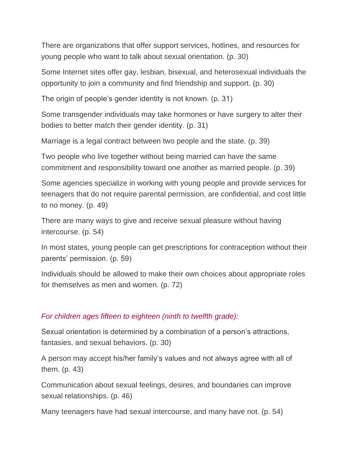There are organizations that offer support services, hotlines, and resources for young people who want to talk about sexual orientation. (p. 30)

Some Internet sites offer gay, lesbian, bisexual, and heterosexual individuals the opportunity to join a community and find friendship and support. (p. 30)

The origin of people's gender identity is not known. (p. 31)

Some transgender individuals may take hormones or have surgery to alter their bodies to better match their gender identity. (p. 31)

Marriage is a legal contract between two people and the state. (p. 39)

Two people who live together without being married can have the same commitment and responsibility toward one another as married people. (p. 39)

Some agencies specialize in working with young people and provide services for teenagers that do not require parental permission, are confidential, and cost little to no money. (p. 49)

There are many ways to give and receive sexual pleasure without having intercourse. (p. 54)

In most states, young people can get prescriptions for contraception without their parents' permission. (p. 59)

Individuals should be allowed to make their own choices about appropriate roles for themselves as men and women. (p. 72)

#### *For children ages fifteen to eighteen (ninth to twelfth grade):*

Sexual orientation is determined by a combination of a person's attractions, fantasies, and sexual behaviors. (p. 30)

A person may accept his/her family's values and not always agree with all of them. (p. 43)

Communication about sexual feelings, desires, and boundaries can improve sexual relationships. (p. 46)

Many teenagers have had sexual intercourse, and many have not. (p. 54)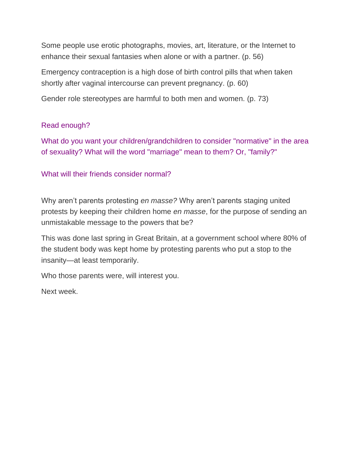Some people use erotic photographs, movies, art, literature, or the Internet to enhance their sexual fantasies when alone or with a partner. (p. 56)

Emergency contraception is a high dose of birth control pills that when taken shortly after vaginal intercourse can prevent pregnancy. (p. 60)

Gender role stereotypes are harmful to both men and women. (p. 73)

#### Read enough?

What do you want your children/grandchildren to consider "normative" in the area of sexuality? What will the word "marriage" mean to them? Or, "family?"

What will their friends consider normal?

Why aren't parents protesting *en masse?* Why aren't parents staging united protests by keeping their children home *en masse*, for the purpose of sending an unmistakable message to the powers that be?

This was done last spring in Great Britain, at a government school where 80% of the student body was kept home by protesting parents who put a stop to the insanity—at least temporarily.

Who those parents were, will interest you.

Next week.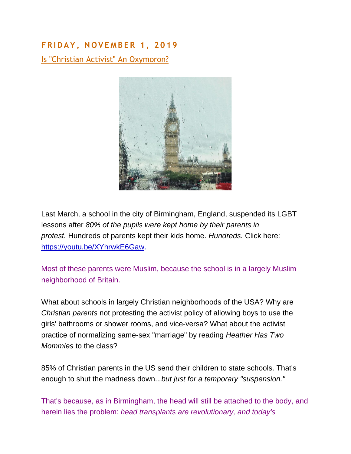## **FRIDAY, NOVEMBER 1, 2019** [Is "Christian Activist" An Oxymoron?](https://biblicalworldviewmatters.blogspot.com/2019/11/is-christian-activist-oxymoron.html)



Last March, a school in [the city of Birmingham, England, s](https://1.bp.blogspot.com/-Ic1UJzvO_Xo/Xac13MBURxI/AAAAAAAAIXM/55bkBU96X3s5jGh98GlLndmBTC7JkP_kQCLcBGAsYHQ/s1600/CA%2Bflag.JPG)uspended its LGBT lessons after *80% of the pupils were kept home by their parents in protest.* Hundreds of parents kept their kids home. *Hundreds.* Click here: [https://youtu.be/XYhrwkE6Gaw.](https://youtu.be/XYhrwkE6Gaw)

Most of these parents were Muslim, because the school is in a largely Muslim neighborhood of Britain.

What about schools in largely Christian neighborhoods of the USA? Why are *Christian parents* not protesting the activist policy of allowing boys to use the girls' bathrooms or shower rooms, and vice-versa? What about the activist practice of normalizing same-sex "marriage" by reading *Heather Has Two Mommies* to the class?

85% of Christian parents in the US send their children to state schools. That's enough to shut the madness down..*.but just for a temporary "suspension."*

That's because, as in Birmingham, the head will still be attached to the body, and herein lies the problem: *head transplants are revolutionary, and today's*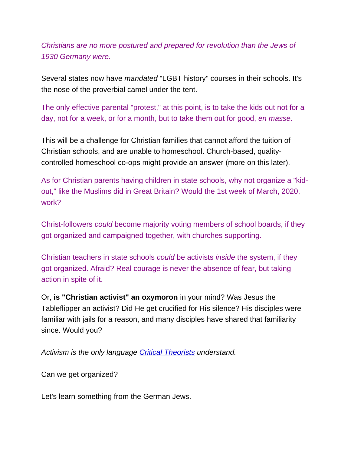*Christians are no more postured and prepared for revolution than the Jews of 1930 Germany were.*

Several states now have *mandated* "LGBT history" courses in their schools. It's the nose of the proverbial camel under the tent.

The only effective parental "protest," at this point, is to take the kids out not for a day, not for a week, or for a month, but to take them out for good, *en masse.*

This will be a challenge for Christian families that cannot afford the tuition of Christian schools, and are unable to homeschool. Church-based, qualitycontrolled homeschool co-ops might provide an answer (more on this later).

As for Christian parents having children in state schools, why not organize a "kidout," like the Muslims did in Great Britain? Would the 1st week of March, 2020, work?

Christ-followers *could* become majority voting members of school boards, if they got organized and campaigned together, with churches supporting.

Christian teachers in state schools *could* be activists *inside* the system, if they got organized. Afraid? Real courage is never the absence of fear, but taking action in spite of it.

Or, **is "Christian activist" an oxymoron** in your mind? Was Jesus the Tableflipper an activist? Did He get crucified for His silence? His disciples were familiar with jails for a reason, and many disciples have shared that familiarity since. Would you?

*Activism is the only language [Critical Theorists](https://biblicalworldviewmatters.blogspot.com/2019/09/critical-theory.html) understand.*

Can we get organized?

Let's learn something from the German Jews.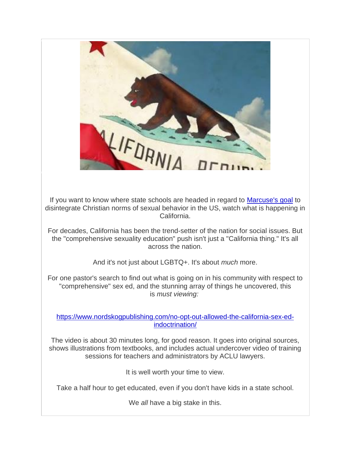

If you want to know where state schools are headed in regard to [Marcuse's](https://biblicalworldviewmatters.blogspot.com/2019/10/unoppressed-sexual-license.html) [goal](https://biblicalworldviewmatters.blogspot.com/2019/10/unoppressed-sexual-license.html) to disintegrate Christian norms of sexual behavior in the US, watch what is happening in California.

For decades, California has been the trend-setter of the nation for social issues. But the "comprehensive sexuality education" push isn't just a "California thing." It's all across the nation.

And it's not just about LGBTQ+. It's about *much* more.

For one pastor's search to find out what is going on in his community with respect to "comprehensive" sex ed, and the stunning array of things he uncovered, this is *must viewing:*

[https://www.nordskogpublishing.com/no-opt-out-allowed-the-california-sex-ed](https://www.nordskogpublishing.com/no-opt-out-allowed-the-california-sex-ed-indoctrination/)[indoctrination/](https://www.nordskogpublishing.com/no-opt-out-allowed-the-california-sex-ed-indoctrination/)

The video is about 30 minutes long, for good reason. It goes into original sources, shows illustrations from textbooks, and includes actual undercover video of training sessions for teachers and administrators by ACLU lawyers.

It is well worth your time to view.

Take a half hour to get educated, even if you don't have kids in a state school.

We *all* have a big stake in this.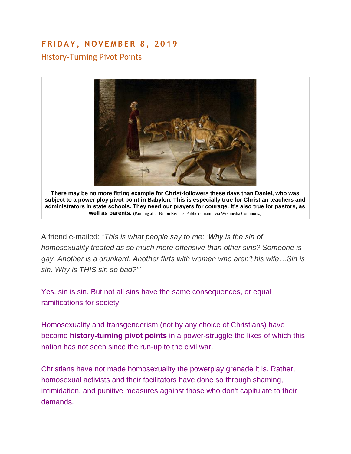## **F R I D A Y , N O V E M B E R 8 , 2 0 1 9 [History-Turning Pivot Points](https://biblicalworldviewmatters.blogspot.com/2019/11/history-turning-pivot-points.html)**



A friend e-mailed: *"This is what people say to me: 'Why is the sin of homosexuality treated as so much more offensive than other sins? Someone is gay. Another is a drunkard. Another flirts with women who aren't his wife…Sin is sin. Why is THIS sin so bad?'"*

Yes, sin is sin. But not all sins have the same consequences, or equal ramifications for society.

Homosexuality and transgenderism (not by any choice of Christians) have become **history-turning pivot points** in a power-struggle the likes of which this nation has not seen since the run-up to the civil war.

Christians have not made homosexuality the powerplay grenade it is. Rather, homosexual activists and their facilitators have done so through shaming, intimidation, and punitive measures against those who don't capitulate to their demands.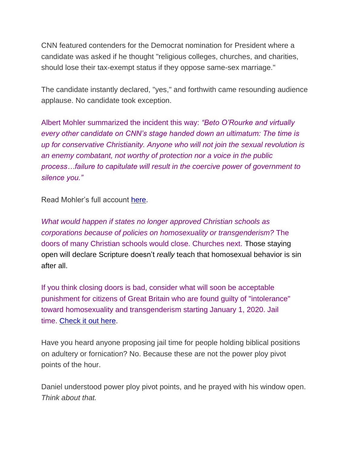CNN featured contenders for the Democrat nomination for President where a candidate was asked if he thought "religious colleges, churches, and charities, should lose their tax-exempt status if they oppose same-sex marriage."

The candidate instantly declared, "yes," and forthwith came resounding audience applause. No candidate took exception.

Albert Mohler summarized the incident this way: *"Beto O'Rourke and virtually every other candidate on CNN's stage handed down an ultimatum: The time is up for conservative Christianity. Anyone who will not join the sexual revolution is an enemy combatant, not worthy of protection nor a voice in the public process…failure to capitulate will result in the coercive power of government to silence you."*

Read Mohler's full account [here.](https://albertmohler.com/2019/10/14/the-cultural-left-bares-its-teeth-an-open-threat-to-churches-and-christians-who-hold-to-biblical-conviction)

*What would happen if states no longer approved Christian schools as corporations because of policies on homosexuality or transgenderism?* The doors of many Christian schools would close. Churches next. Those staying open will declare Scripture doesn't *really* teach that homosexual behavior is sin after all.

If you think closing doors is bad, consider what will soon be acceptable punishment for citizens of Great Britain who are found guilty of "intolerance" toward homosexuality and transgenderism starting January 1, 2020. Jail time. [Check it out here.](https://www.dailymail.co.uk/news/article-7577477/Now-trans-gay-hate-crime-mean-SIX-months-jail-judges-ordered-crack-down.html?fbclid=IwAR2aCix6mm6D3TtaZmyOd07bxAukMuq1dSSFZMCBUDhKeby6v_BWm_Ld2X0)

Have you heard anyone proposing jail time for people holding biblical positions on adultery or fornication? No. Because these are not the power ploy pivot points of the hour.

Daniel understood power ploy pivot points, and he prayed with his window open. *Think about that.*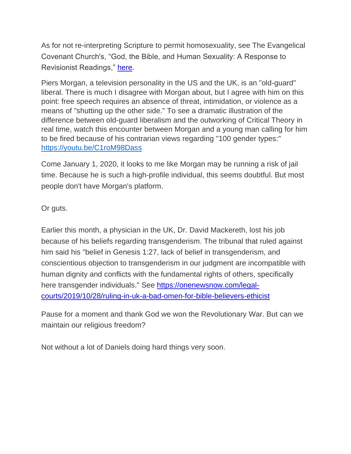As for not re-interpreting Scripture to permit homosexuality, see The Evangelical Covenant Church's, "God, the Bible, and Human Sexuality: A Response to Revisionist Readings," [here.](https://covchurch.org/embrace/wp-content/uploads/sites/92/2018/08/NPST_Paper-FINAL2-web-updated.pdf)

Piers Morgan, a television personality in the US and the UK, is an "old-guard" liberal. There is much I disagree with Morgan about, but I agree with him on this point: free speech requires an absence of threat, intimidation, or violence as a means of "shutting up the other side." To see a dramatic illustration of the difference between old-guard liberalism and the outworking of Critical Theory in real time, watch this encounter between Morgan and a young man calling for him to be fired because of his contrarian views regarding "100 gender types:" <https://youtu.be/C1roM98Dass>

Come January 1, 2020, it looks to me like Morgan may be running a risk of jail time. Because he is such a high-profile individual, this seems doubtful. But most people don't have Morgan's platform.

Or guts.

Earlier this month, a physician in the UK, Dr. David Mackereth, lost his job because of his beliefs regarding transgenderism. The tribunal that ruled against him said his "belief in Genesis 1:27, lack of belief in transgenderism, and conscientious objection to transgenderism in our judgment are incompatible with human dignity and conflicts with the fundamental rights of others, specifically here transgender individuals." See [https://onenewsnow.com/legal](https://onenewsnow.com/legal-courts/2019/10/28/ruling-in-uk-a-bad-omen-for-bible-believers-ethicist)[courts/2019/10/28/ruling-in-uk-a-bad-omen-for-bible-believers-ethicist](https://onenewsnow.com/legal-courts/2019/10/28/ruling-in-uk-a-bad-omen-for-bible-believers-ethicist)

Pause for a moment and thank God we won the Revolutionary War. But can we maintain our religious freedom?

Not without a lot of Daniels doing hard things very soon.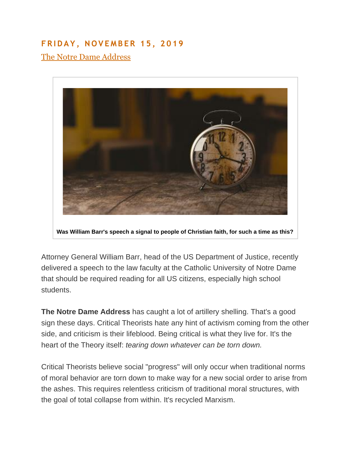## **F R I D A Y , N O V E M B E R 1 5 , 2 0 1 9** [The Notre Dame Address](https://biblicalworldviewmatters.blogspot.com/2019/11/the-notre-dame-address.html)



**Was William Barr's speech a signal to people of Christian faith, for such a time as this?**

Attorney General William Barr, head of the US Department of Justice, recently delivered a speech to the law faculty at the Catholic University of Notre Dame that should be required reading for all US citizens, especially high school students.

**The Notre Dame Address** has caught a lot of artillery shelling. That's a good sign these days. Critical Theorists hate any hint of activism coming from the other side, and criticism is their lifeblood. Being critical is what they live for. It's the heart of the Theory itself: *tearing down whatever can be torn down.*

Critical Theorists believe social "progress" will only occur when traditional norms of moral behavior are torn down to make way for a new social order to arise from the ashes. This requires relentless criticism of traditional moral structures, with the goal of total collapse from within. It's recycled Marxism.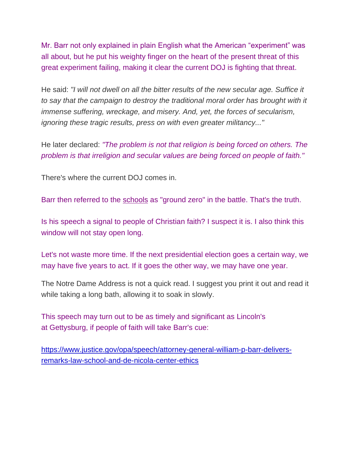Mr. Barr not only explained in plain English what the American "experiment" was all about, but he put his weighty finger on the heart of the present threat of this great experiment failing, making it clear the current DOJ is fighting that threat.

He said: *"I will not dwell on all the bitter results of the new secular age. Suffice it*  to say that the campaign to destroy the traditional moral order has brought with it *immense suffering, wreckage, and misery. And, yet, the forces of secularism, ignoring these tragic results, press on with even greater militancy..."*

He later declared: *"The problem is not that religion is being forced on others. The problem is that irreligion and secular values are being forced on people of faith."*

There's where the current DOJ comes in.

Barr then referred to the schools as "ground zero" in the battle. That's the truth.

Is his speech a signal to people of Christian faith? I suspect it is. I also think this window will not stay open long.

Let's not waste more time. If the next presidential election goes a certain way, we may have five years to act. If it goes the other way, we may have one year.

The Notre Dame Address is not a quick read. I suggest you print it out and read it while taking a long bath, allowing it to soak in slowly.

This speech may turn out to be as timely and significant as Lincoln's at Gettysburg, if people of faith will take Barr's cue:

[https://www.justice.gov/opa/speech/attorney-general-william-p-barr-delivers](https://www.justice.gov/opa/speech/attorney-general-william-p-barr-delivers-remarks-law-school-and-de-nicola-center-ethics)[remarks-law-school-and-de-nicola-center-ethics](https://www.justice.gov/opa/speech/attorney-general-william-p-barr-delivers-remarks-law-school-and-de-nicola-center-ethics)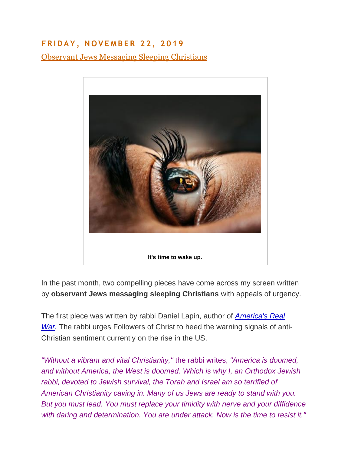## **FRIDAY, NOVEMBER 22, 2019** [Observant Jews Messaging Sleeping Christians](https://biblicalworldviewmatters.blogspot.com/2019/11/observant-jews-messaging-sleeping.html)



In the past month, two compelling pieces have come across my screen written by **observant Jews messaging sleeping Christians** with appeals of urgency.

The first piece was written by rabbi Daniel Lapin, author of *[America's Real](https://www.amazon.com/Americas-Real-Rabbi-Daniel-Lapin/dp/1576736555/ref=sr_1_4?crid=4A9NF0OL4HN6&keywords=rabbi+daniel+lapin+books&qid=1573738679&sprefix=books+by+Rabbi+Daniel+%2Caps%2C212&sr=8-4)  [War.](https://www.amazon.com/Americas-Real-Rabbi-Daniel-Lapin/dp/1576736555/ref=sr_1_4?crid=4A9NF0OL4HN6&keywords=rabbi+daniel+lapin+books&qid=1573738679&sprefix=books+by+Rabbi+Daniel+%2Caps%2C212&sr=8-4)* The rabbi urges Followers of Christ to heed the warning signals of anti-Christian sentiment currently on the rise in the US.

*"Without a vibrant and vital Christianity,"* the rabbi writes, *"America is doomed, and without America, the West is doomed. Which is why I, an Orthodox Jewish rabbi, devoted to Jewish survival, the Torah and Israel am so terrified of American Christianity caving in. Many of us Jews are ready to stand with you. But you must lead. You must replace your timidity with nerve and your diffidence with daring and determination. You are under attack. Now is the time to resist it."*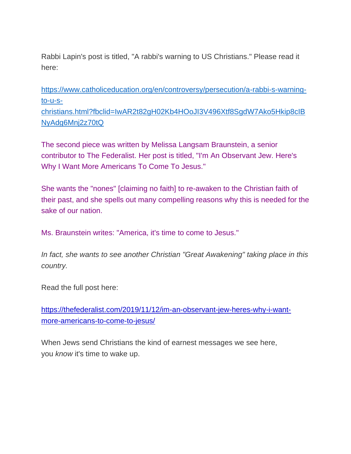Rabbi Lapin's post is titled, "A rabbi's warning to US Christians." Please read it here:

[https://www.catholiceducation.org/en/controversy/persecution/a-rabbi-s-warning](https://www.catholiceducation.org/en/controversy/persecution/a-rabbi-s-warning-to-u-s-christians.html?fbclid=IwAR2t82gH02Kb4HOoJI3V496Xtf8SgdW7Ako5Hkip8cIBNyAdg6Mnj2z70tQ)[to-u-s](https://www.catholiceducation.org/en/controversy/persecution/a-rabbi-s-warning-to-u-s-christians.html?fbclid=IwAR2t82gH02Kb4HOoJI3V496Xtf8SgdW7Ako5Hkip8cIBNyAdg6Mnj2z70tQ)[christians.html?fbclid=IwAR2t82gH02Kb4HOoJI3V496Xtf8SgdW7Ako5Hkip8cIB](https://www.catholiceducation.org/en/controversy/persecution/a-rabbi-s-warning-to-u-s-christians.html?fbclid=IwAR2t82gH02Kb4HOoJI3V496Xtf8SgdW7Ako5Hkip8cIBNyAdg6Mnj2z70tQ)

[NyAdg6Mnj2z70tQ](https://www.catholiceducation.org/en/controversy/persecution/a-rabbi-s-warning-to-u-s-christians.html?fbclid=IwAR2t82gH02Kb4HOoJI3V496Xtf8SgdW7Ako5Hkip8cIBNyAdg6Mnj2z70tQ)

The second piece was written by Melissa Langsam Braunstein, a senior contributor to The Federalist. Her post is titled, "I'm An Observant Jew. Here's Why I Want More Americans To Come To Jesus."

She wants the "nones" [claiming no faith] to re-awaken to the Christian faith of their past, and she spells out many compelling reasons why this is needed for the sake of our nation.

Ms. Braunstein writes: "America, it's time to come to Jesus."

*In fact, she wants to see another Christian "Great Awakening" taking place in this country.*

Read the full post here:

[https://thefederalist.com/2019/11/12/im-an-observant-jew-heres-why-i-want](https://thefederalist.com/2019/11/12/im-an-observant-jew-heres-why-i-want-more-americans-to-come-to-jesus/)[more-americans-to-come-to-jesus/](https://thefederalist.com/2019/11/12/im-an-observant-jew-heres-why-i-want-more-americans-to-come-to-jesus/)

When Jews send Christians the kind of earnest messages we see here, you *know* it's time to wake up.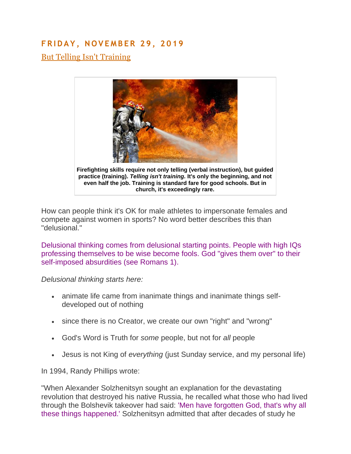## **F R I D A Y , N O V E M B E R 2 9 , 2 0 1 9** [But Telling Isn't Training](https://biblicalworldviewmatters.blogspot.com/2019/11/telling-isnt-training.html)



How can people think it's OK for male athletes to impersonate females and compete against women in sports? No word better describes this than "delusional."

Delusional thinking comes from delusional starting points. People with high IQs professing themselves to be wise become fools. God "gives them over" to their self-imposed absurdities (see Romans 1).

*Delusional thinking starts here:*

- animate life came from inanimate things and inanimate things selfdeveloped out of nothing
- since there is no Creator, we create our own "right" and "wrong"
- God's Word is Truth for *some* people, but not for *all* people
- Jesus is not King of *everything* (just Sunday service, and my personal life)

In 1994, Randy Phillips wrote:

"When Alexander Solzhenitsyn sought an explanation for the devastating revolution that destroyed his native Russia, he recalled what those who had lived through the Bolshevik takeover had said: 'Men have forgotten God, that's why all these things happened.' Solzhenitsyn admitted that after decades of study he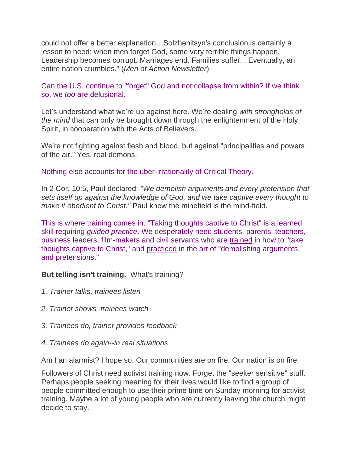could not offer a better explanation…Solzhenitsyn's conclusion is certainly a lesson to heed: when men forget God, some very terrible things happen. Leadership becomes corrupt. Marriages end. Families suffer... Eventually, an entire nation crumbles." (*Men of Action Newsletter*)

Can the U.S. continue to "forget" God and not collapse from within? If we think so, we *too* are delusional.

Let's understand what we're up against here. We're dealing *with strongholds of the mind* that can only be brought down through the enlightenment of the Holy Spirit, in cooperation with the Acts of Believers.

We're not fighting against flesh and blood, but against "principalities and powers of the air." Yes, real demons.

Nothing else accounts for the uber-irrationality of Critical Theory.

In 2 Cor. 10:5, Paul declared: *"We demolish arguments and every pretension that sets itself up against the knowledge of God, and we take captive every thought to make it obedient to Christ."* Paul knew the minefield is the mind-field.

This is where training comes in. "Taking thoughts captive to Christ" is a learned skill requiring *guided practice*. We desperately need students, parents, teachers, business leaders, film-makers and civil servants who are trained in how to "take thoughts captive to Christ," and practiced in the art of "demolishing arguments and pretensions."

#### **But telling isn't training.** What's training?

- *1. Trainer talks, trainees listen*
- *2. Trainer shows, trainees watch*
- *3. Trainees do, trainer provides feedback*
- *4. Trainees do again--in real situations*

Am I an alarmist? I hope so. Our communities are on fire. Our nation is on fire.

Followers of Christ need activist training now. Forget the "seeker sensitive" stuff. Perhaps people seeking meaning for their lives would like to find a group of people committed enough to use their prime time on Sunday morning for activist training. Maybe a lot of young people who are currently leaving the church might decide to stay.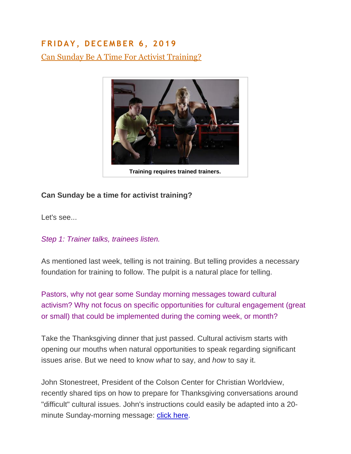## **FRIDAY, DECEMBER 6, 2019** [Can Sunday Be A Time For Activist Training?](https://biblicalworldviewmatters.blogspot.com/2019/12/can-sunday-be-time-for-activist-training.html)



#### **Can Sunday be a time for activist training?**

Let's see...

*Step 1: Trainer talks, trainees listen.*

As mentioned last week, telling is not training. But telling provides a necessary foundation for training to follow. The pulpit is a natural place for telling.

Pastors, why not gear some Sunday morning messages toward cultural activism? Why not focus on specific opportunities for cultural engagement (great or small) that could be implemented during the coming week, or month?

Take the Thanksgiving dinner that just passed. Cultural activism starts with opening our mouths when natural opportunities to speak regarding significant issues arise. But we need to know *what* to say, and *how* to say it.

John Stonestreet, President of the Colson Center for Christian Worldview, recently shared tips on how to prepare for Thanksgiving conversations around "difficult" cultural issues. John's instructions could easily be adapted into a 20 minute Sunday-morning message: [click here.](https://www.breakpoint.org/talking-turkey-at-thanksgiving-2-2/)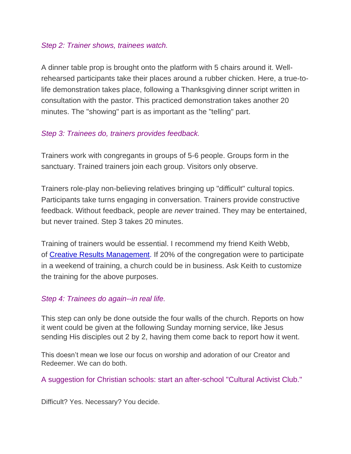#### *Step 2: Trainer shows, trainees watch.*

A dinner table prop is brought onto the platform with 5 chairs around it. Wellrehearsed participants take their places around a rubber chicken. Here, a true-tolife demonstration takes place, following a Thanksgiving dinner script written in consultation with the pastor. This practiced demonstration takes another 20 minutes. The "showing" part is as important as the "telling" part.

#### *Step 3: Trainees do, trainers provides feedback.*

Trainers work with congregants in groups of 5-6 people. Groups form in the sanctuary. Trained trainers join each group. Visitors only observe.

Trainers role-play non-believing relatives bringing up "difficult" cultural topics. Participants take turns engaging in conversation. Trainers provide constructive feedback. Without feedback, people are *never* trained. They may be entertained, but never trained. Step 3 takes 20 minutes.

Training of trainers would be essential. I recommend my friend Keith Webb, of [Creative Results Management.](https://www.creativeresultsmanagement.com/) If 20% of the congregation were to participate in a weekend of training, a church could be in business. Ask Keith to customize the training for the above purposes.

#### *Step 4: Trainees do again--in real life.*

This step can only be done outside the four walls of the church. Reports on how it went could be given at the following Sunday morning service, like Jesus sending His disciples out 2 by 2, having them come back to report how it went.

This doesn't mean we lose our focus on worship and adoration of our Creator and Redeemer. We can do both.

A suggestion for Christian schools: start an after-school "Cultural Activist Club."

Difficult? Yes. Necessary? You decide.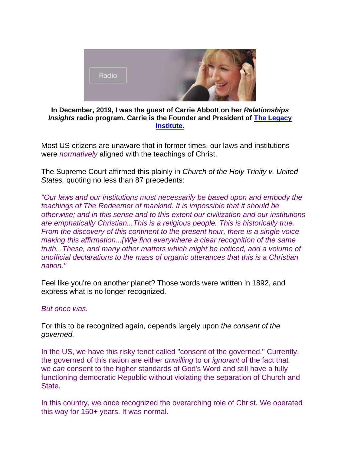

#### **In December, 2019, I was the guest of Carrie Abbott on her** *Relationships Insights* **radio program. Carrie is the Founder and President of [The Legacy](https://thelegacyinstitute.com/Resources/All-Resources)  [Institute.](https://thelegacyinstitute.com/Resources/All-Resources)**

Most US citizens are unaware that in former times, our laws and institutions were *normatively* aligned with the teachings of Christ.

The Supreme Court affirmed this plainly in *Church of the Holy Trinity v. United States,* quoting no less than 87 precedents:

*"Our laws and our institutions must necessarily be based upon and embody the teachings of The Redeemer of mankind. It is impossible that it should be otherwise; and in this sense and to this extent our civilization and our institutions are emphatically Christian...This is a religious people. This is historically true. From the discovery of this continent to the present hour, there is a single voice making this affirmation...[W]e find everywhere a clear recognition of the same truth...These, and many other matters which might be noticed, add a volume of unofficial declarations to the mass of organic utterances that this is a Christian nation."*

Feel like you're on another planet? Those words were written in 1892, and express what is no longer recognized.

#### *But once was.*

For this to be recognized again, depends largely upon *the consent of the governed.*

In the US, we have this risky tenet called "consent of the governed." Currently, the governed of this nation are either *unwilling* to or *ignorant* of the fact that we *can* consent to the higher standards of God's Word and still have a fully functioning democratic Republic without violating the separation of Church and State.

In this country, we once recognized the overarching role of Christ*.* We operated this way for 150+ years. It was normal.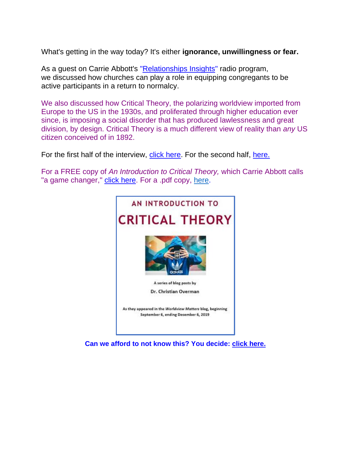What's getting in the way today? It's either **ignorance, unwillingness or fear.** 

As a guest on Carrie Abbott's ["Relationships Insights"](https://www.kcisradio.com/relationship-insights/) radio program, we discussed how churches can play a role in equipping congregants to be active participants in a return to normalcy.

We also discussed how Critical Theory, the polarizing worldview imported from Europe to the US in the 1930s, and proliferated through higher education ever since, is imposing a social disorder that has produced lawlessness and great division, by design. Critical Theory is a much different view of reality than *any* US citizen conceived of in 1892.

For the first half of the interview, [click here.](http://carrieabbott.com/Radio/ArticleID/1589/Can-Sunday-Be-A-Time-of-Activist-Training-Part-1#article) For the second half, [here.](http://carrieabbott.com/Radio/ArticleID/1590/Can-Sunday-Be-A-Time-of-Activist-Training-Part-2#article)

For a FREE copy of *An Introduction to Critical Theory,* which Carrie Abbott calls "a game changer," [click here.](https://issuu.com/christianoverman/docs/an_introduction_to_critical_theory) For a .pdf copy, [here.](https://img1.wsimg.com/blobby/go/a51a6a77-07d1-4525-8e6a-96cb0856ac94/downloads/Introduction%20to%20CRITICAL%20THEORY%20by%20Christian%20O.pdf?ver=1578236200656)



**Can we afford to not know this? You decide: [click here.](https://issuu.com/christianoverman/docs/an_introduction_to_critical_theory)**